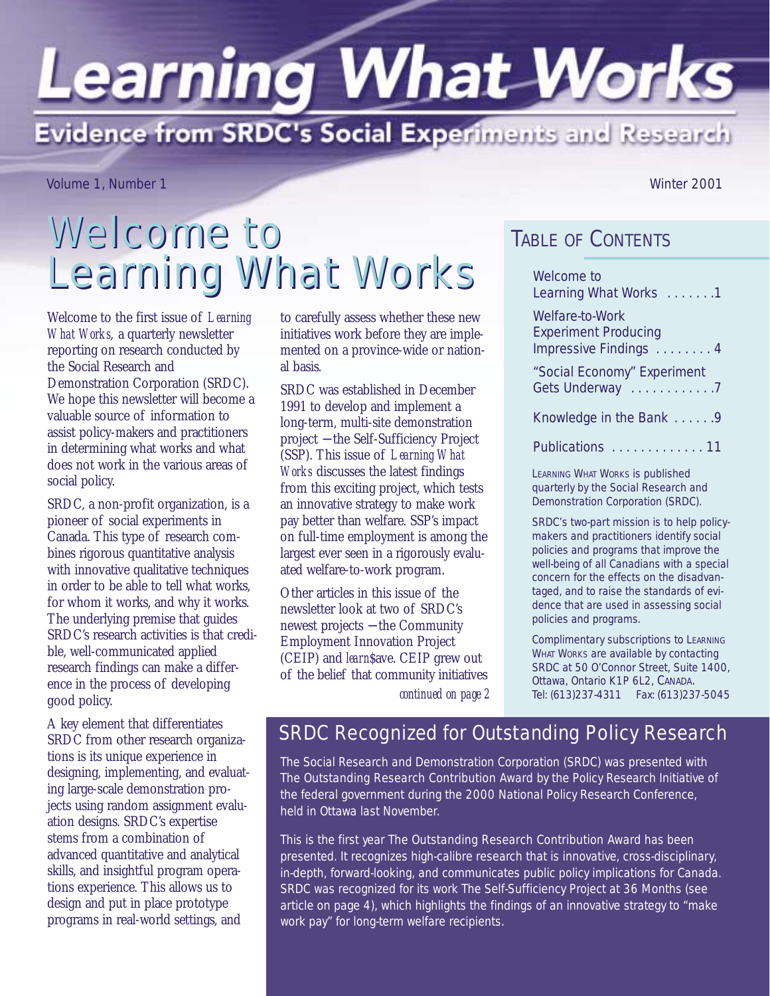# **Learning What Works** Evidence from SRDC's Social Experiments and Research

Volume 1, Number 1 Winter 2001

## Welcome to Learning What Works Welcome to

Welcome to the first issue of *Learning What Works*, a quarterly newsletter reporting on research conducted by the Social Research and Demonstration Corporation (SRDC). We hope this newsletter will become a valuable source of information to assist policy-makers and practitioners in determining what works and what does not work in the various areas of social policy.

SRDC, a non-profit organization, is a pioneer of social experiments in Canada. This type of research combines rigorous quantitative analysis with innovative qualitative techniques in order to be able to tell what works, for whom it works, and why it works. The underlying premise that guides SRDC's research activities is that credible, well-communicated applied research findings can make a difference in the process of developing good policy.

A key element that differentiates SRDC from other research organizations is its unique experience in designing, implementing, and evaluating large-scale demonstration projects using random assignment evaluation designs. SRDC's expertise stems from a combination of advanced quantitative and analytical skills, and insightful program operations experience. This allows us to design and put in place prototype programs in real-world settings, and

to carefully assess whether these new initiatives work before they are implemented on a province-wide or national basis.

SRDC was established in December 1991 to develop and implement a long-term, multi-site demonstration project − the Self-Sufficiency Project (SSP). This issue of *Learning What Works* discusses the latest findings from this exciting project, which tests an innovative strategy to make work pay better than welfare. SSP's impact on full-time employment is among the largest ever seen in a rigorously evaluated welfare-to-work program.

Other articles in this issue of the newsletter look at two of SRDC's newest projects − the Community Employment Innovation Project (CEIP) and *learn*\$ave. CEIP grew out of the belief that community initiatives

### TABLE OF CONTENTS

| Welcome to<br>Learning What Works 1                                     |
|-------------------------------------------------------------------------|
| Welfare-to-Work<br><b>Experiment Producing</b><br>Impressive Findings 4 |
| "Social Economy" Experiment<br>Gets Underway 7                          |
| Knowledge in the Bank 9                                                 |
| Publications  11                                                        |

LEARNING WHAT WORKS is published quarterly by the Social Research and Demonstration Corporation (SRDC).

SRDC's two-part mission is to help policymakers and practitioners identify social policies and programs that improve the well-being of all Canadians with a special concern for the effects on the disadvantaged, and to raise the standards of evidence that are used in assessing social policies and programs.

Complimentary subscriptions to LEARNING WHAT WORKS are available by contacting SRDC at 50 O'Connor Street, Suite 1400, Ottawa, Ontario K1P 6L2, CANADA. Tel: (613)237-4311 Fax: (613)237-5045

SRDC Recognized for Outstanding Policy Research

*continued on page 2*

The Social Research and Demonstration Corporation (SRDC) was presented with *The Outstanding Research Contribution Award* by the Policy Research Initiative of the federal government during the 2000 National Policy Research Conference, held in Ottawa last November.

This is the first year *The Outstanding Research Contribution Award* has been presented. It recognizes high-calibre research that is innovative, cross-disciplinary, in-depth, forward-looking, and communicates public policy implications for Canada. SRDC was recognized for its work The Self-Sufficiency Project at 36 Months (see article on page 4), which highlights the findings of an innovative strategy to "make work pay" for long-term welfare recipients.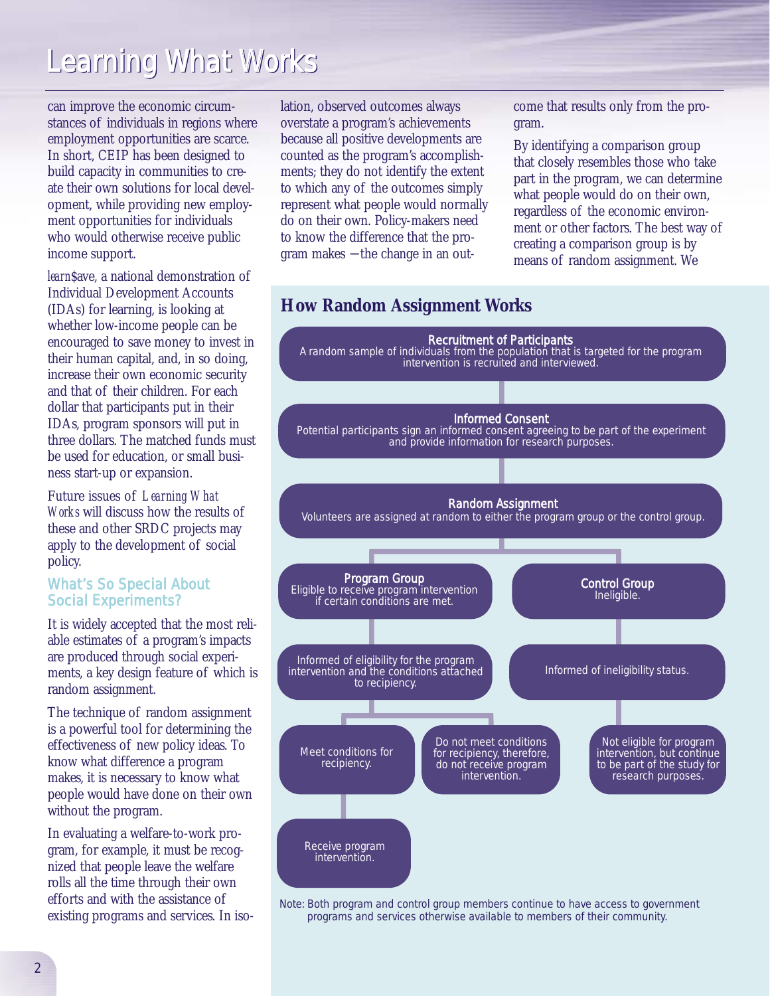can improve the economic circumstances of individuals in regions where employment opportunities are scarce. In short, CEIP has been designed to build capacity in communities to create their own solutions for local development, while providing new employment opportunities for individuals who would otherwise receive public income support.

*learn*\$ave, a national demonstration of Individual Development Accounts (IDAs) for learning, is looking at whether low-income people can be encouraged to save money to invest in their human capital, and, in so doing, increase their own economic security and that of their children. For each dollar that participants put in their IDAs, program sponsors will put in three dollars. The matched funds must be used for education, or small business start-up or expansion.

Future issues of *Learning What Works* will discuss how the results of these and other SRDC projects may apply to the development of social policy.

### What's So Special About Social Experiments?

It is widely accepted that the most reliable estimates of a program's impacts are produced through social experiments, a key design feature of which is random assignment.

The technique of random assignment is a powerful tool for determining the effectiveness of new policy ideas. To know what difference a program makes, it is necessary to know what people would have done on their own without the program.

In evaluating a welfare-to-work program, for example, it must be recognized that people leave the welfare rolls all the time through their own efforts and with the assistance of existing programs and services. In isolation, observed outcomes always overstate a program's achievements because all positive developments are counted as the program's accomplishments; they do not identify the extent to which any of the outcomes simply represent what people would normally do on their own. Policy-makers need to know the difference that the program makes − the change in an outcome that results only from the program.

By identifying a comparison group that closely resembles those who take part in the program, we can determine what people would do on their own, regardless of the economic environment or other factors. The best way of creating a comparison group is by means of random assignment. We



*Note:* Both program and control group members continue to have access to government programs and services otherwise available to members of their community.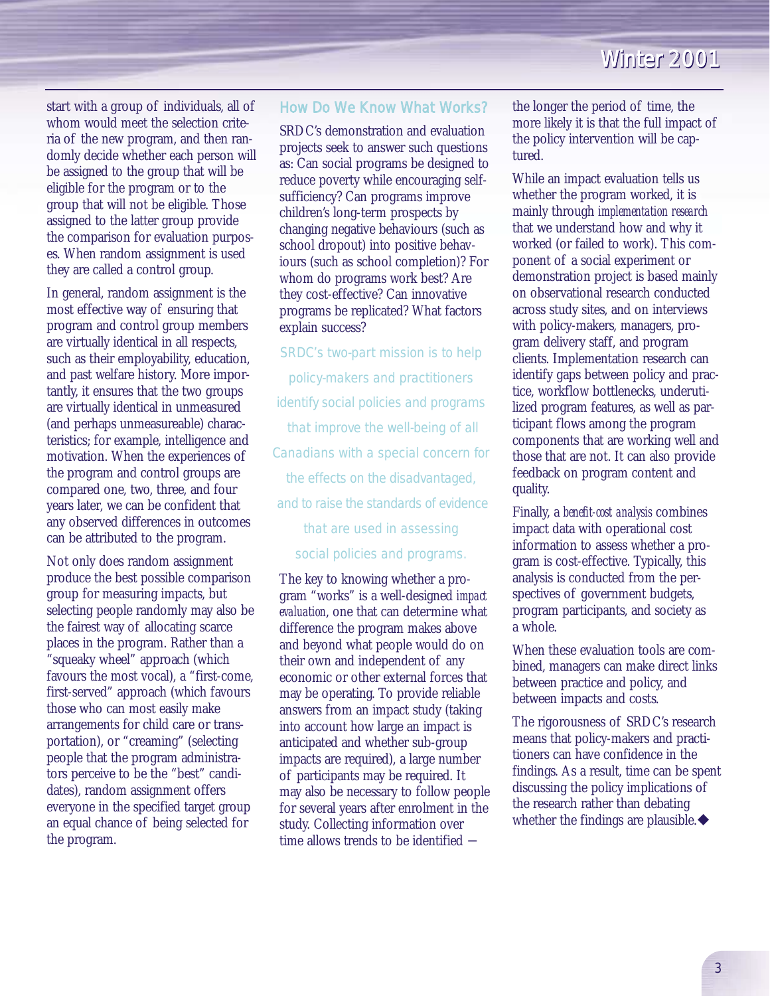start with a group of individuals, all of whom would meet the selection criteria of the new program, and then randomly decide whether each person will be assigned to the group that will be eligible for the program or to the group that will not be eligible. Those assigned to the latter group provide the comparison for evaluation purposes. When random assignment is used they are called a control group.

In general, random assignment is the most effective way of ensuring that program and control group members are virtually identical in all respects, such as their employability, education, and past welfare history. More importantly, it ensures that the two groups are virtually identical in unmeasured (and perhaps unmeasureable) characteristics; for example, intelligence and motivation. When the experiences of the program and control groups are compared one, two, three, and four years later, we can be confident that any observed differences in outcomes can be attributed to the program.

Not only does random assignment produce the best possible comparison group for measuring impacts, but selecting people randomly may also be the fairest way of allocating scarce places in the program. Rather than a "squeaky wheel" approach (which favours the most vocal), a "first-come, first-served" approach (which favours those who can most easily make arrangements for child care or transportation), or "creaming" (selecting people that the program administrators perceive to be the "best" candidates), random assignment offers everyone in the specified target group an equal chance of being selected for the program.

#### How Do We Know What Works?

SRDC's demonstration and evaluation projects seek to answer such questions as: Can social programs be designed to reduce poverty while encouraging selfsufficiency? Can programs improve children's long-term prospects by changing negative behaviours (such as school dropout) into positive behaviours (such as school completion)? For whom do programs work best? Are they cost-effective? Can innovative programs be replicated? What factors explain success?

*SRDC's two-part mission is to help policy-makers and practitioners identify social policies and programs that improve the well-being of all Canadians with a special concern for the effects on the disadvantaged, and to raise the standards of evidence that are used in assessing social policies and programs.*

The key to knowing whether a program "works" is a well-designed *impact evaluation*, one that can determine what difference the program makes above and beyond what people would do on their own and independent of any economic or other external forces that may be operating. To provide reliable answers from an impact study (taking into account how large an impact is anticipated and whether sub-group impacts are required), a large number of participants may be required. It may also be necessary to follow people for several years after enrolment in the study. Collecting information over time allows trends to be identified −

the longer the period of time, the more likely it is that the full impact of the policy intervention will be captured.

While an impact evaluation tells us whether the program worked, it is mainly through *implementation research* that we understand how and why it worked (or failed to work). This component of a social experiment or demonstration project is based mainly on observational research conducted across study sites, and on interviews with policy-makers, managers, program delivery staff, and program clients. Implementation research can identify gaps between policy and practice, workflow bottlenecks, underutilized program features, as well as participant flows among the program components that are working well and those that are not. It can also provide feedback on program content and quality.

Finally, a *benefit-cost analysis* combines impact data with operational cost information to assess whether a program is cost-effective. Typically, this analysis is conducted from the perspectives of government budgets, program participants, and society as a whole.

When these evaluation tools are combined, managers can make direct links between practice and policy, and between impacts and costs.

The rigorousness of SRDC's research means that policy-makers and practitioners can have confidence in the findings. As a result, time can be spent discussing the policy implications of the research rather than debating whether the findings are plausible. $\blacklozenge$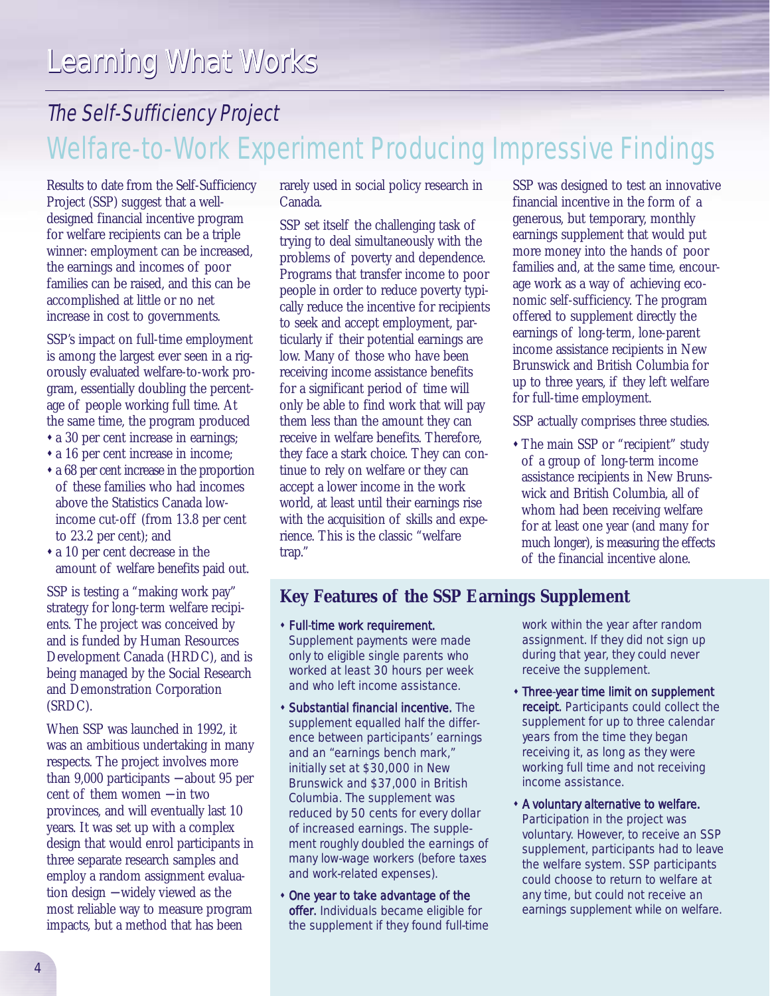### The Self-Sufficiency Project Welfare-to-Work Experiment Producing Impressive Findings

Results to date from the Self-Sufficiency Project (SSP) suggest that a welldesigned financial incentive program for welfare recipients can be a triple winner: employment can be increased, the earnings and incomes of poor families can be raised, and this can be accomplished at little or no net increase in cost to governments.

SSP's impact on full-time employment is among the largest ever seen in a rigorously evaluated welfare-to-work program, essentially doubling the percentage of people working full time. At the same time, the program produced \* a 30 per cent increase in earnings;

- 
- a 16 per cent increase in income;
- \* a 68 per cent increase in the proportion of these families who had incomes above the Statistics Canada lowincome cut-off (from 13.8 per cent to 23.2 per cent); and
- a 10 per cent decrease in the amount of welfare benefits paid out.

SSP is testing a "making work pay" strategy for long-term welfare recipients. The project was conceived by and is funded by Human Resources Development Canada (HRDC), and is being managed by the Social Research and Demonstration Corporation (SRDC).

When SSP was launched in 1992, it was an ambitious undertaking in many respects. The project involves more than 9,000 participants − about 95 per cent of them women − in two provinces, and will eventually last 10 years. It was set up with a complex design that would enrol participants in three separate research samples and employ a random assignment evaluation design − widely viewed as the most reliable way to measure program impacts, but a method that has been

rarely used in social policy research in Canada.

SSP set itself the challenging task of trying to deal simultaneously with the problems of poverty and dependence. Programs that transfer income to poor people in order to reduce poverty typically reduce the incentive for recipients to seek and accept employment, particularly if their potential earnings are low. Many of those who have been receiving income assistance benefits for a significant period of time will only be able to find work that will pay them less than the amount they can receive in welfare benefits. Therefore, they face a stark choice. They can continue to rely on welfare or they can accept a lower income in the work world, at least until their earnings rise with the acquisition of skills and experience. This is the classic "welfare trap."

SSP was designed to test an innovative financial incentive in the form of a generous, but temporary, monthly earnings supplement that would put more money into the hands of poor families and, at the same time, encourage work as a way of achieving economic self-sufficiency. The program offered to supplement directly the earnings of long-term, lone-parent income assistance recipients in New Brunswick and British Columbia for up to three years, if they left welfare for full-time employment.

SSP actually comprises three studies.

\* The main SSP or "recipient" study of a group of long-term income assistance recipients in New Brunswick and British Columbia, all of whom had been receiving welfare for at least one year (and many for much longer), is measuring the effects of the financial incentive alone.

### **Key Features of the SSP Earnings Supplement**

- " Full-time work requirement. Supplement payments were made only to eligible single parents who worked at least 30 hours per week and who left income assistance.
- **\* Substantial financial incentive.** The supplement equalled half the difference between participants' earnings and an "earnings bench mark," initially set at \$30,000 in New Brunswick and \$37,000 in British Columbia. The supplement was reduced by 50 cents for every dollar of increased earnings. The supplement roughly doubled the earnings of many low-wage workers (before taxes and work-related expenses).
- One year to take advantage of the offer. Individuals became eligible for the supplement if they found full-time

work within the year after random assignment. If they did not sign up during that year, they could never receive the supplement.

- **\* Three-year time limit on supplement** receipt. Participants could collect the supplement for up to three calendar years from the time they began receiving it, as long as they were working full time and not receiving income assistance.
- **\* A voluntary alternative to welfare.** Participation in the project was voluntary. However, to receive an SSP supplement, participants had to leave the welfare system. SSP participants could choose to return to welfare at any time, but could not receive an earnings supplement while on welfare.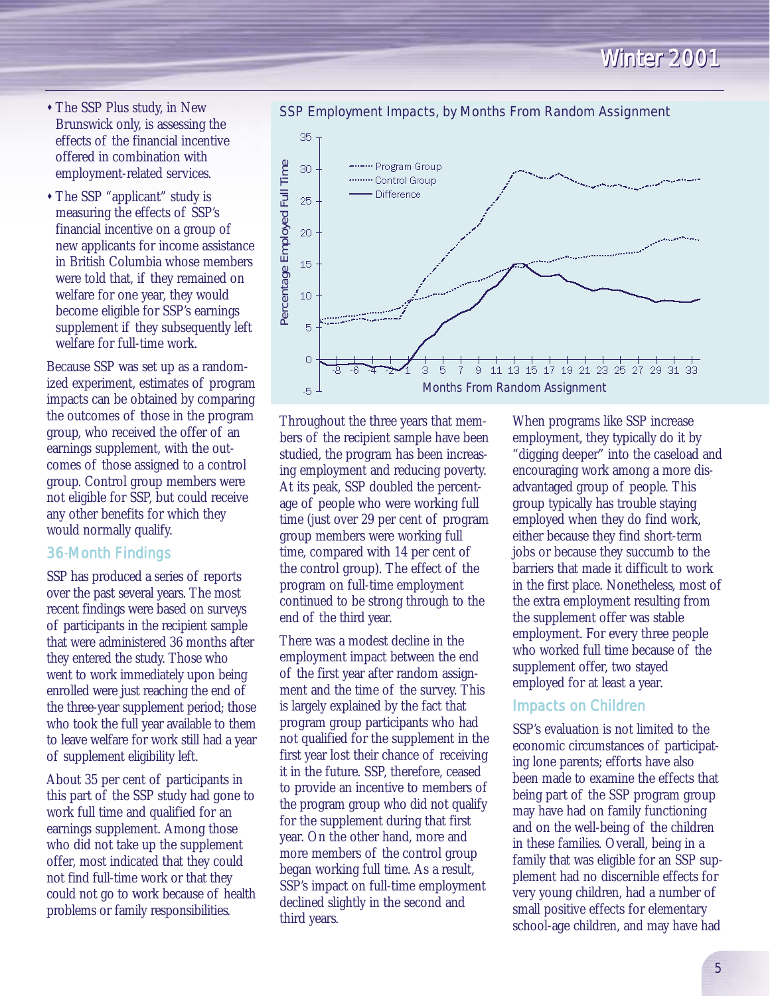- The SSP Plus study, in New Brunswick only, is assessing the effects of the financial incentive offered in combination with employment-related services.
- " The SSP "applicant" study is measuring the effects of SSP's financial incentive on a group of new applicants for income assistance in British Columbia whose members were told that, if they remained on welfare for one year, they would become eligible for SSP's earnings supplement if they subsequently left welfare for full-time work.

Because SSP was set up as a randomized experiment, estimates of program impacts can be obtained by comparing the outcomes of those in the program group, who received the offer of an earnings supplement, with the outcomes of those assigned to a control group. Control group members were not eligible for SSP, but could receive any other benefits for which they would normally qualify.

### 36-Month Findings

SSP has produced a series of reports over the past several years. The most recent findings were based on surveys of participants in the recipient sample that were administered 36 months after they entered the study. Those who went to work immediately upon being enrolled were just reaching the end of the three-year supplement period; those who took the full year available to them to leave welfare for work still had a year of supplement eligibility left.

About 35 per cent of participants in this part of the SSP study had gone to work full time and qualified for an earnings supplement. Among those who did not take up the supplement offer, most indicated that they could not find full-time work or that they could not go to work because of health problems or family responsibilities.

Throughout the three years that members of the recipient sample have been studied, the program has been increasing employment and reducing poverty. At its peak, SSP doubled the percentage of people who were working full time (just over 29 per cent of program group members were working full time, compared with 14 per cent of the control group). The effect of the program on full-time employment continued to be strong through to the end of the third year.

There was a modest decline in the employment impact between the end of the first year after random assignment and the time of the survey. This is largely explained by the fact that program group participants who had not qualified for the supplement in the first year lost their chance of receiving it in the future. SSP, therefore, ceased to provide an incentive to members of the program group who did not qualify for the supplement during that first year. On the other hand, more and more members of the control group began working full time. As a result, SSP's impact on full-time employment declined slightly in the second and third years.

When programs like SSP increase employment, they typically do it by "digging deeper" into the caseload and encouraging work among a more disadvantaged group of people. This group typically has trouble staying employed when they do find work, either because they find short-term jobs or because they succumb to the barriers that made it difficult to work in the first place. Nonetheless, most of the extra employment resulting from the supplement offer was stable employment. For every three people who worked full time because of the supplement offer, two stayed employed for at least a year.

#### Impacts on Children

SSP's evaluation is not limited to the economic circumstances of participating lone parents; efforts have also been made to examine the effects that being part of the SSP program group may have had on family functioning and on the well-being of the children in these families. Overall, being in a family that was eligible for an SSP supplement had no discernible effects for very young children, had a number of small positive effects for elementary school-age children, and may have had

SSP Employment Impacts, by Months From Random Assignment

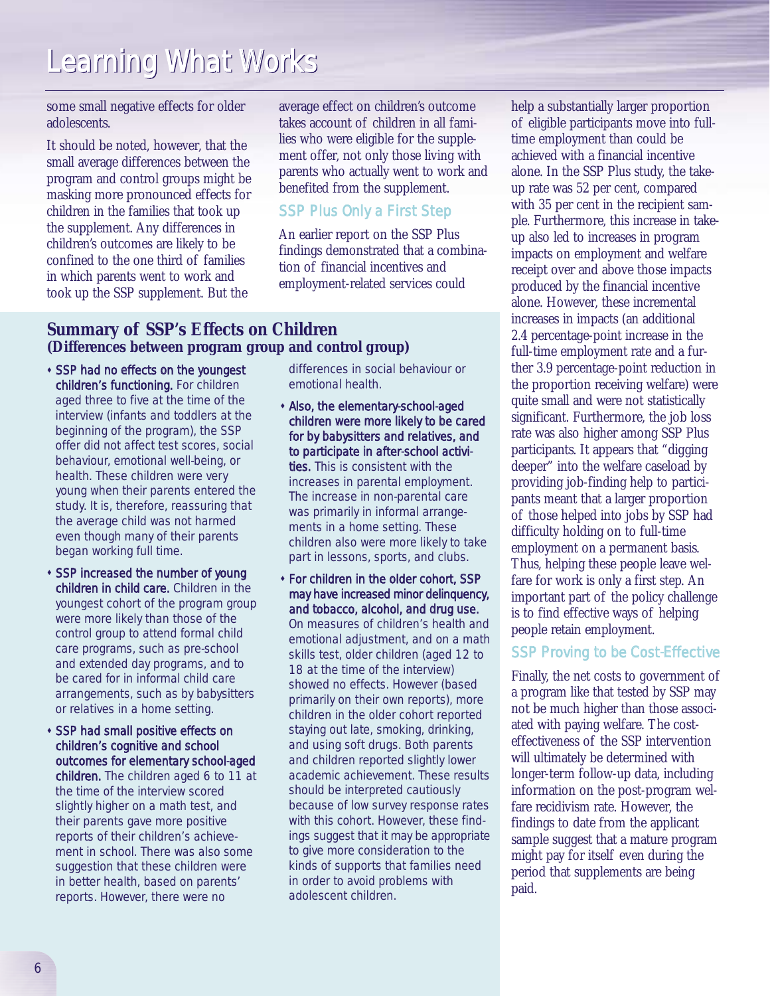some small negative effects for older adolescents.

It should be noted, however, that the small average differences between the program and control groups might be masking more pronounced effects for children in the families that took up the supplement. Any differences in children's outcomes are likely to be confined to the one third of families in which parents went to work and took up the SSP supplement. But the

average effect on children's outcome takes account of children in all families who were eligible for the supplement offer, not only those living with parents who actually went to work and benefited from the supplement.

### SSP Plus Only a First Step

An earlier report on the SSP Plus findings demonstrated that a combination of financial incentives and employment-related services could

### **Summary of SSP's Effects on Children (Differences between program group and control group)**

- **. SSP had no effects on the youngest** children's functioning. For children aged three to five at the time of the interview (infants and toddlers at the beginning of the program), the SSP offer did not affect test scores, social behaviour, emotional well-being, or health. These children were very young when their parents entered the study. It is, therefore, reassuring that the average child was not harmed even though many of their parents began working full time.
- **\* SSP increased the number of young** children in child care. Children in the youngest cohort of the program group were more likely than those of the control group to attend formal child care programs, such as pre-school and extended day programs, and to be cared for in informal child care arrangements, such as by babysitters or relatives in a home setting.
- " SSP had small positive effects on children's cognitive and school outcomes for elementary school-aged children. The children aged 6 to 11 at the time of the interview scored slightly higher on a math test, and their parents gave more positive reports of their children's achievement in school. There was also some suggestion that these children were in better health, based on parents' reports. However, there were no

differences in social behaviour or emotional health.

- " Also, the elementary-school-aged children were more likely to be cared for by babysitters and relatives, and to participate in after-school activities. This is consistent with the increases in parental employment. The increase in non-parental care was primarily in informal arrangements in a home setting. These children also were more likely to take part in lessons, sports, and clubs.
- " For children in the older cohort, SSP may have increased minor delinquency, and tobacco, alcohol, and drug use. On measures of children's health and emotional adjustment, and on a math skills test, older children (aged 12 to 18 at the time of the interview) showed no effects. However (based primarily on their own reports), more children in the older cohort reported staying out late, smoking, drinking, and using soft drugs. Both parents and children reported slightly lower academic achievement. These results should be interpreted cautiously because of low survey response rates with this cohort. However, these findings suggest that it may be appropriate to give more consideration to the kinds of supports that families need in order to avoid problems with adolescent children.

help a substantially larger proportion of eligible participants move into fulltime employment than could be achieved with a financial incentive alone. In the SSP Plus study, the takeup rate was 52 per cent, compared with 35 per cent in the recipient sample. Furthermore, this increase in takeup also led to increases in program impacts on employment and welfare receipt over and above those impacts produced by the financial incentive alone. However, these incremental increases in impacts (an additional 2.4 percentage-point increase in the full-time employment rate and a further 3.9 percentage-point reduction in the proportion receiving welfare) were quite small and were not statistically significant. Furthermore, the job loss rate was also higher among SSP Plus participants. It appears that "digging deeper" into the welfare caseload by providing job-finding help to participants meant that a larger proportion of those helped into jobs by SSP had difficulty holding on to full-time employment on a permanent basis. Thus, helping these people leave welfare for work is only a first step. An important part of the policy challenge is to find effective ways of helping people retain employment.

### SSP Proving to be Cost-Effective

Finally, the net costs to government of a program like that tested by SSP may not be much higher than those associated with paying welfare. The costeffectiveness of the SSP intervention will ultimately be determined with longer-term follow-up data, including information on the post-program welfare recidivism rate. However, the findings to date from the applicant sample suggest that a mature program might pay for itself even during the period that supplements are being paid.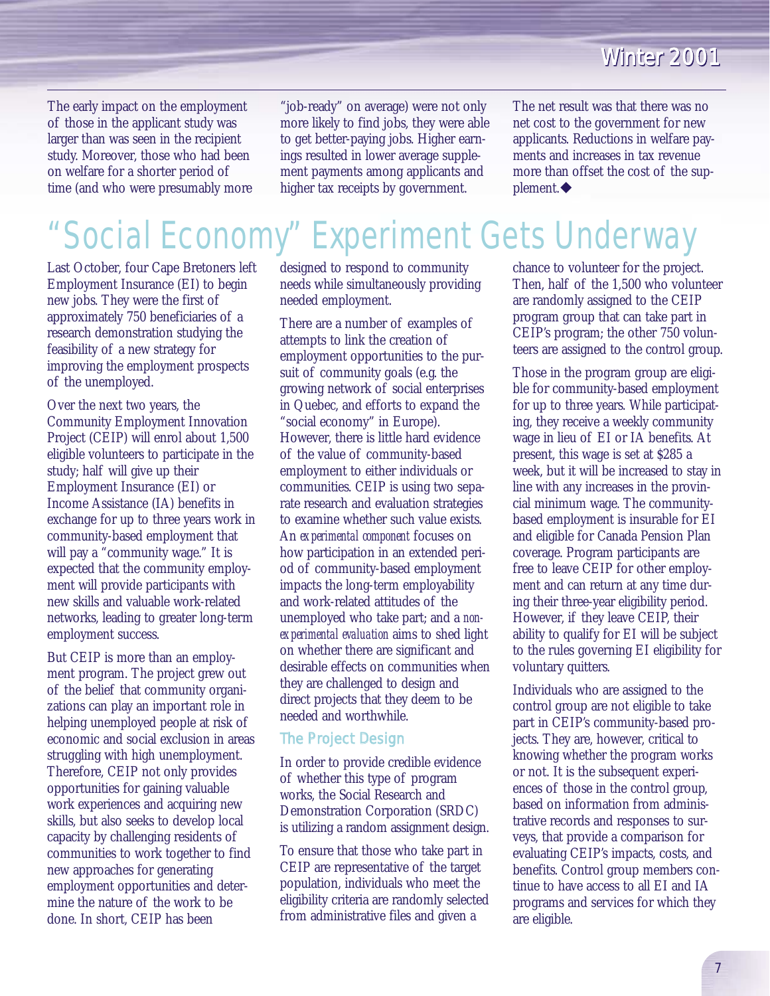The early impact on the employment of those in the applicant study was larger than was seen in the recipient study. Moreover, those who had been on welfare for a shorter period of time (and who were presumably more "job-ready" on average) were not only more likely to find jobs, they were able to get better-paying jobs. Higher earnings resulted in lower average supplement payments among applicants and higher tax receipts by government.

The net result was that there was no net cost to the government for new applicants. Reductions in welfare payments and increases in tax revenue more than offset the cost of the sup $plement. \blacklozenge$ 

## "Social Economy" Experiment Gets Underway

Last October, four Cape Bretoners left Employment Insurance (EI) to begin new jobs. They were the first of approximately 750 beneficiaries of a research demonstration studying the feasibility of a new strategy for improving the employment prospects of the unemployed.

Over the next two years, the Community Employment Innovation Project (CEIP) will enrol about 1,500 eligible volunteers to participate in the study; half will give up their Employment Insurance (EI) or Income Assistance (IA) benefits in exchange for up to three years work in community-based employment that will pay a "community wage." It is expected that the community employment will provide participants with new skills and valuable work-related networks, leading to greater long-term employment success.

But CEIP is more than an employment program. The project grew out of the belief that community organizations can play an important role in helping unemployed people at risk of economic and social exclusion in areas struggling with high unemployment. Therefore, CEIP not only provides opportunities for gaining valuable work experiences and acquiring new skills, but also seeks to develop local capacity by challenging residents of communities to work together to find new approaches for generating employment opportunities and determine the nature of the work to be done. In short, CEIP has been

designed to respond to community needs while simultaneously providing needed employment.

There are a number of examples of attempts to link the creation of employment opportunities to the pursuit of community goals (e.g. the growing network of social enterprises in Quebec, and efforts to expand the "social economy" in Europe). However, there is little hard evidence of the value of community-based employment to either individuals or communities. CEIP is using two separate research and evaluation strategies to examine whether such value exists. An *experimental component* focuses on how participation in an extended period of community-based employment impacts the long-term employability and work-related attitudes of the unemployed who take part; and a *nonexperimental evaluation* aims to shed light on whether there are significant and desirable effects on communities when they are challenged to design and direct projects that they deem to be needed and worthwhile.

### The Project Design

In order to provide credible evidence of whether this type of program works, the Social Research and Demonstration Corporation (SRDC) is utilizing a random assignment design.

To ensure that those who take part in CEIP are representative of the target population, individuals who meet the eligibility criteria are randomly selected from administrative files and given a

chance to volunteer for the project. Then, half of the 1,500 who volunteer are randomly assigned to the CEIP program group that can take part in CEIP's program; the other 750 volunteers are assigned to the control group.

Those in the program group are eligible for community-based employment for up to three years. While participating, they receive a weekly community wage in lieu of EI or IA benefits. At present, this wage is set at \$285 a week, but it will be increased to stay in line with any increases in the provincial minimum wage. The communitybased employment is insurable for EI and eligible for Canada Pension Plan coverage. Program participants are free to leave CEIP for other employment and can return at any time during their three-year eligibility period. However, if they leave CEIP, their ability to qualify for EI will be subject to the rules governing EI eligibility for voluntary quitters.

Individuals who are assigned to the control group are not eligible to take part in CEIP's community-based projects. They are, however, critical to knowing whether the program works or not. It is the subsequent experiences of those in the control group, based on information from administrative records and responses to surveys, that provide a comparison for evaluating CEIP's impacts, costs, and benefits. Control group members continue to have access to all EI and IA programs and services for which they are eligible.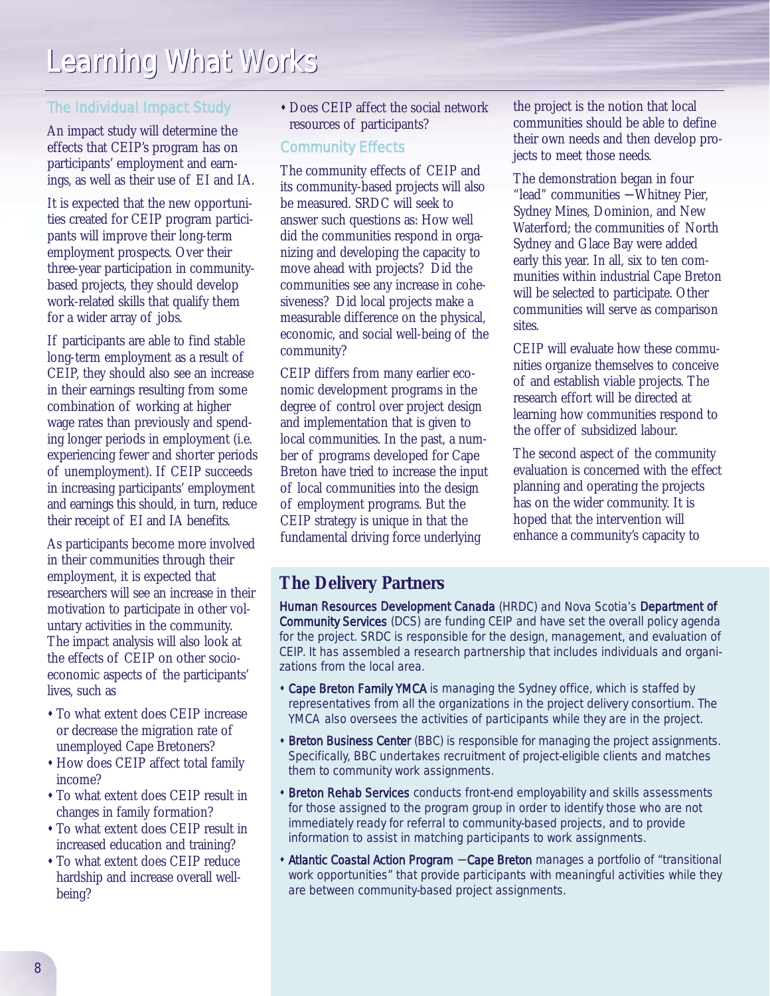### The Individual Impact Study

An impact study will determine the effects that CEIP's program has on participants' employment and earnings, as well as their use of EI and IA.

It is expected that the new opportunities created for CEIP program participants will improve their long-term employment prospects. Over their three-year participation in communitybased projects, they should develop work-related skills that qualify them for a wider array of jobs.

If participants are able to find stable long-term employment as a result of CEIP, they should also see an increase in their earnings resulting from some combination of working at higher wage rates than previously and spending longer periods in employment (i.e. experiencing fewer and shorter periods of unemployment). If CEIP succeeds in increasing participants' employment and earnings this should, in turn, reduce their receipt of EI and IA benefits.

As participants become more involved in their communities through their employment, it is expected that researchers will see an increase in their motivation to participate in other voluntary activities in the community. The impact analysis will also look at the effects of CEIP on other socioeconomic aspects of the participants' lives, such as

- " To what extent does CEIP increase or decrease the migration rate of unemployed Cape Bretoners?
- " How does CEIP affect total family income?
- " To what extent does CEIP result in changes in family formation?
- " To what extent does CEIP result in increased education and training?
- " To what extent does CEIP reduce hardship and increase overall wellbeing?

" Does CEIP affect the social network resources of participants?

### Community Effects

The community effects of CEIP and its community-based projects will also be measured. SRDC will seek to answer such questions as: How well did the communities respond in organizing and developing the capacity to move ahead with projects? Did the communities see any increase in cohesiveness? Did local projects make a measurable difference on the physical, economic, and social well-being of the community?

CEIP differs from many earlier economic development programs in the degree of control over project design and implementation that is given to local communities. In the past, a number of programs developed for Cape Breton have tried to increase the input of local communities into the design of employment programs. But the CEIP strategy is unique in that the fundamental driving force underlying

the project is the notion that local communities should be able to define their own needs and then develop projects to meet those needs.

The demonstration began in four "lead" communities − Whitney Pier, Sydney Mines, Dominion, and New Waterford; the communities of North Sydney and Glace Bay were added early this year. In all, six to ten communities within industrial Cape Breton will be selected to participate. Other communities will serve as comparison sites.

CEIP will evaluate how these communities organize themselves to conceive of and establish viable projects. The research effort will be directed at learning how communities respond to the offer of subsidized labour.

The second aspect of the community evaluation is concerned with the effect planning and operating the projects has on the wider community. It is hoped that the intervention will enhance a community's capacity to

### **The Delivery Partners**

Human Resources Development Canada (HRDC) and Nova Scotia's Department of Community Services (DCS) are funding CEIP and have set the overall policy agenda for the project. SRDC is responsible for the design, management, and evaluation of CEIP. It has assembled a research partnership that includes individuals and organizations from the local area.

- Cape Breton Family YMCA is managing the Sydney office, which is staffed by representatives from all the organizations in the project delivery consortium. The YMCA also oversees the activities of participants while they are in the project.
- **\* Breton Business Center** (BBC) is responsible for managing the project assignments. Specifically, BBC undertakes recruitment of project-eligible clients and matches them to community work assignments.
- **\* Breton Rehab Services** conducts front-end employability and skills assessments for those assigned to the program group in order to identify those who are not immediately ready for referral to community-based projects, and to provide information to assist in matching participants to work assignments.
- . Atlantic Coastal Action Program Cape Breton manages a portfolio of "transitional work opportunities" that provide participants with meaningful activities while they are between community-based project assignments.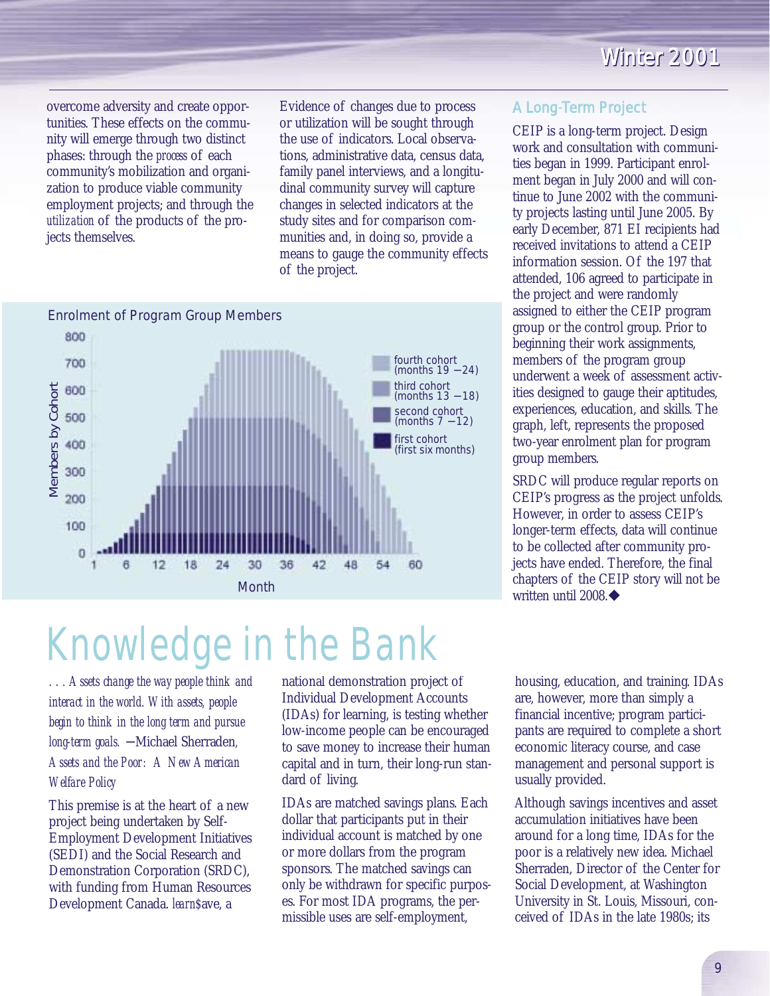overcome adversity and create opportunities. These effects on the community will emerge through two distinct phases: through the *process* of each community's mobilization and organization to produce viable community employment projects; and through the *utilization* of the products of the projects themselves.

Evidence of changes due to process or utilization will be sought through the use of indicators. Local observations, administrative data, census data, family panel interviews, and a longitudinal community survey will capture changes in selected indicators at the study sites and for comparison communities and, in doing so, provide a means to gauge the community effects of the project.



### A Long-Term Project

CEIP is a long-term project. Design work and consultation with communities began in 1999. Participant enrolment began in July 2000 and will continue to June 2002 with the community projects lasting until June 2005. By early December, 871 EI recipients had received invitations to attend a CEIP information session. Of the 197 that attended, 106 agreed to participate in the project and were randomly assigned to either the CEIP program group or the control group. Prior to beginning their work assignments, members of the program group underwent a week of assessment activities designed to gauge their aptitudes, experiences, education, and skills. The graph, left, represents the proposed two-year enrolment plan for program group members.

SRDC will produce regular reports on CEIP's progress as the project unfolds. However, in order to assess CEIP's longer-term effects, data will continue to be collected after community projects have ended. Therefore, the final chapters of the CEIP story will not be written until 2008.

*. . . Assets change the way people think and interact in the world. With assets, people begin to think in the long term and pursue long-term goals.* <sup>−</sup> Michael Sherraden*, Assets and the Poor: A New American Welfare Policy* 

This premise is at the heart of a new project being undertaken by Self-Employment Development Initiatives (SEDI) and the Social Research and Demonstration Corporation (SRDC), with funding from Human Resources Development Canada. *learn\$*ave, a

national demonstration project of Individual Development Accounts (IDAs) for learning, is testing whether low-income people can be encouraged to save money to increase their human capital and in turn, their long-run standard of living.

IDAs are matched savings plans. Each dollar that participants put in their individual account is matched by one or more dollars from the program sponsors. The matched savings can only be withdrawn for specific purposes. For most IDA programs, the permissible uses are self-employment,

housing, education, and training. IDAs are, however, more than simply a financial incentive; program participants are required to complete a short economic literacy course, and case management and personal support is usually provided.

Although savings incentives and asset accumulation initiatives have been around for a long time, IDAs for the poor is a relatively new idea. Michael Sherraden, Director of the Center for Social Development, at Washington University in St. Louis, Missouri, conceived of IDAs in the late 1980s; its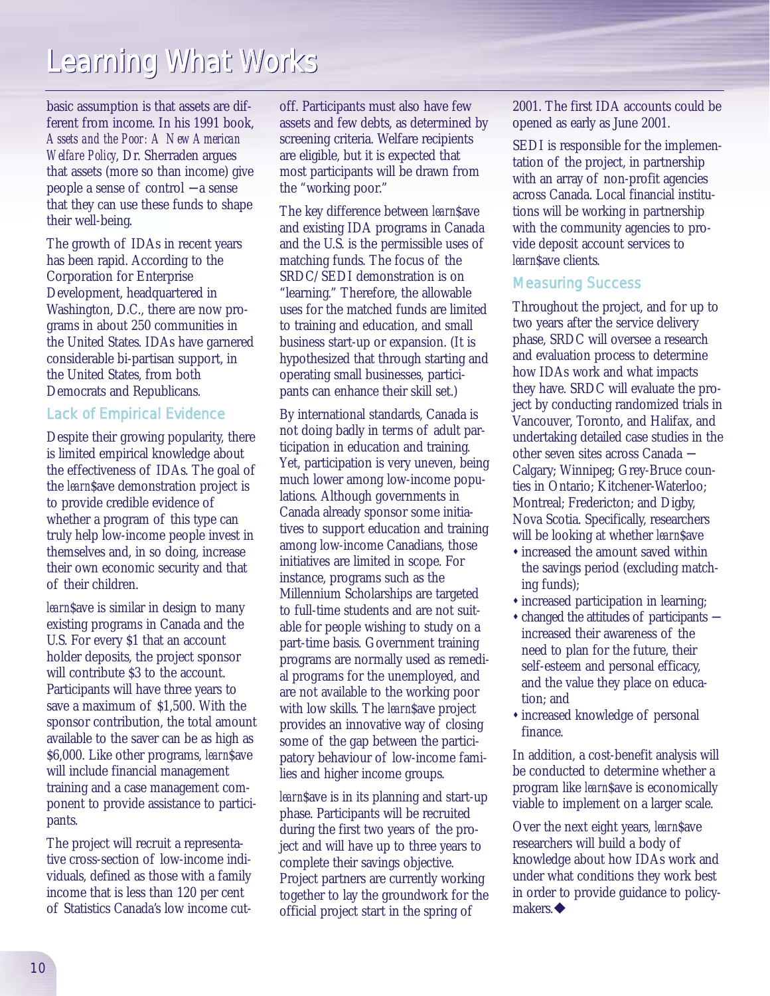basic assumption is that assets are different from income. In his 1991 book, *Assets and the Poor: A New American Welfare Policy*, Dr. Sherraden argues that assets (more so than income) give people a sense of control − a sense that they can use these funds to shape their well-being.

The growth of IDAs in recent years has been rapid. According to the Corporation for Enterprise Development, headquartered in Washington, D.C., there are now programs in about 250 communities in the United States. IDAs have garnered considerable bi-partisan support, in the United States, from both Democrats and Republicans.

### Lack of Empirical Evidence

Despite their growing popularity, there is limited empirical knowledge about the effectiveness of IDAs. The goal of the *learn*\$ave demonstration project is to provide credible evidence of whether a program of this type can truly help low-income people invest in themselves and, in so doing, increase their own economic security and that of their children.

*learn*\$ave is similar in design to many existing programs in Canada and the U.S. For every \$1 that an account holder deposits, the project sponsor will contribute \$3 to the account. Participants will have three years to save a maximum of \$1,500. With the sponsor contribution, the total amount available to the saver can be as high as \$6,000. Like other programs, *learn*\$ave will include financial management training and a case management component to provide assistance to participants.

The project will recruit a representative cross-section of low-income individuals, defined as those with a family income that is less than 120 per cent of Statistics Canada's low income cutoff. Participants must also have few assets and few debts, as determined by screening criteria. Welfare recipients are eligible, but it is expected that most participants will be drawn from the "working poor."

The key difference between *learn*\$ave and existing IDA programs in Canada and the U.S. is the permissible uses of matching funds. The focus of the SRDC/SEDI demonstration is on "learning." Therefore, the allowable uses for the matched funds are limited to training and education, and small business start-up or expansion. (It is hypothesized that through starting and operating small businesses, participants can enhance their skill set.)

By international standards, Canada is not doing badly in terms of adult participation in education and training. Yet, participation is very uneven, being much lower among low-income populations. Although governments in Canada already sponsor some initiatives to support education and training among low-income Canadians, those initiatives are limited in scope. For instance, programs such as the Millennium Scholarships are targeted to full-time students and are not suitable for people wishing to study on a part-time basis. Government training programs are normally used as remedial programs for the unemployed, and are not available to the working poor with low skills. The *learn*\$ave project provides an innovative way of closing some of the gap between the participatory behaviour of low-income families and higher income groups.

*learn*Save is in its planning and start-up phase. Participants will be recruited during the first two years of the project and will have up to three years to complete their savings objective. Project partners are currently working together to lay the groundwork for the official project start in the spring of

2001. The first IDA accounts could be opened as early as June 2001.

SEDI is responsible for the implementation of the project, in partnership with an array of non-profit agencies across Canada. Local financial institutions will be working in partnership with the community agencies to provide deposit account services to *learn*\$ave clients.

### Measuring Success

Throughout the project, and for up to two years after the service delivery phase, SRDC will oversee a research and evaluation process to determine how IDAs work and what impacts they have. SRDC will evaluate the project by conducting randomized trials in Vancouver, Toronto, and Halifax, and undertaking detailed case studies in the other seven sites across Canada − Calgary; Winnipeg; Grey-Bruce counties in Ontario; Kitchener-Waterloo; Montreal; Fredericton; and Digby, Nova Scotia. Specifically, researchers will be looking at whether *learn*\$ave

- $*$  increased the amount saved within the savings period (excluding matching funds);
- $*$  increased participation in learning;
- " changed the attitudes of participants − increased their awareness of the need to plan for the future, their self-esteem and personal efficacy, and the value they place on education; and
- increased knowledge of personal finance.

In addition, a cost-benefit analysis will be conducted to determine whether a program like *learn*\$ave is economically viable to implement on a larger scale.

Over the next eight years, *learn*\$ave researchers will build a body of knowledge about how IDAs work and under what conditions they work best in order to provide guidance to policymakers. $\blacklozenge$